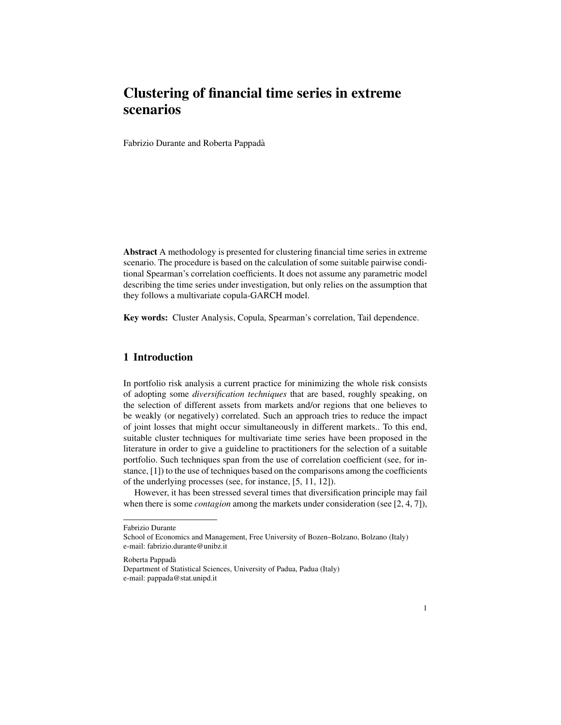# Clustering of financial time series in extreme scenarios

Fabrizio Durante and Roberta Pappada`

Abstract A methodology is presented for clustering financial time series in extreme scenario. The procedure is based on the calculation of some suitable pairwise conditional Spearman's correlation coefficients. It does not assume any parametric model describing the time series under investigation, but only relies on the assumption that they follows a multivariate copula-GARCH model.

Key words: Cluster Analysis, Copula, Spearman's correlation, Tail dependence.

## 1 Introduction

In portfolio risk analysis a current practice for minimizing the whole risk consists of adopting some *diversification techniques* that are based, roughly speaking, on the selection of different assets from markets and/or regions that one believes to be weakly (or negatively) correlated. Such an approach tries to reduce the impact of joint losses that might occur simultaneously in different markets.. To this end, suitable cluster techniques for multivariate time series have been proposed in the literature in order to give a guideline to practitioners for the selection of a suitable portfolio. Such techniques span from the use of correlation coefficient (see, for instance, [1]) to the use of techniques based on the comparisons among the coefficients of the underlying processes (see, for instance, [5, 11, 12]).

However, it has been stressed several times that diversification principle may fail when there is some *contagion* among the markets under consideration (see [2, 4, 7]),

Roberta Pappada`

Fabrizio Durante

School of Economics and Management, Free University of Bozen–Bolzano, Bolzano (Italy) e-mail: fabrizio.durante@unibz.it

Department of Statistical Sciences, University of Padua, Padua (Italy) e-mail: pappada@stat.unipd.it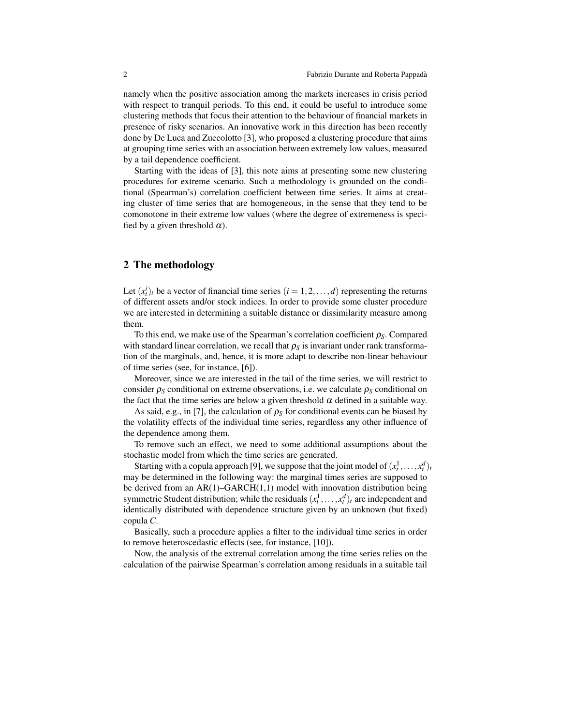namely when the positive association among the markets increases in crisis period with respect to tranquil periods. To this end, it could be useful to introduce some clustering methods that focus their attention to the behaviour of financial markets in presence of risky scenarios. An innovative work in this direction has been recently done by De Luca and Zuccolotto [3], who proposed a clustering procedure that aims at grouping time series with an association between extremely low values, measured by a tail dependence coefficient.

Starting with the ideas of [3], this note aims at presenting some new clustering procedures for extreme scenario. Such a methodology is grounded on the conditional (Spearman's) correlation coefficient between time series. It aims at creating cluster of time series that are homogeneous, in the sense that they tend to be comonotone in their extreme low values (where the degree of extremeness is specified by a given threshold  $\alpha$ ).

#### 2 The methodology

Let  $(x_t^i)_t$  be a vector of financial time series  $(i = 1, 2, ..., d)$  representing the returns of different assets and/or stock indices. In order to provide some cluster procedure we are interested in determining a suitable distance or dissimilarity measure among them.

To this end, we make use of the Spearman's correlation coefficient ρ*S*. Compared with standard linear correlation, we recall that  $\rho_s$  is invariant under rank transformation of the marginals, and, hence, it is more adapt to describe non-linear behaviour of time series (see, for instance, [6]).

Moreover, since we are interested in the tail of the time series, we will restrict to consider  $\rho_S$  conditional on extreme observations, i.e. we calculate  $\rho_S$  conditional on the fact that the time series are below a given threshold  $\alpha$  defined in a suitable way.

As said, e.g., in [7], the calculation of  $\rho_s$  for conditional events can be biased by the volatility effects of the individual time series, regardless any other influence of the dependence among them.

To remove such an effect, we need to some additional assumptions about the stochastic model from which the time series are generated.

Starting with a copula approach [9], we suppose that the joint model of  $(x_t^1, \ldots, x_t^d)_t$ may be determined in the following way: the marginal times series are supposed to be derived from an  $AR(1)-GARCH(1,1)$  model with innovation distribution being symmetric Student distribution; while the residuals  $(x_t^1, \ldots, x_t^d)_t$  are independent and identically distributed with dependence structure given by an unknown (but fixed) copula *C*.

Basically, such a procedure applies a filter to the individual time series in order to remove heteroscedastic effects (see, for instance, [10]).

Now, the analysis of the extremal correlation among the time series relies on the calculation of the pairwise Spearman's correlation among residuals in a suitable tail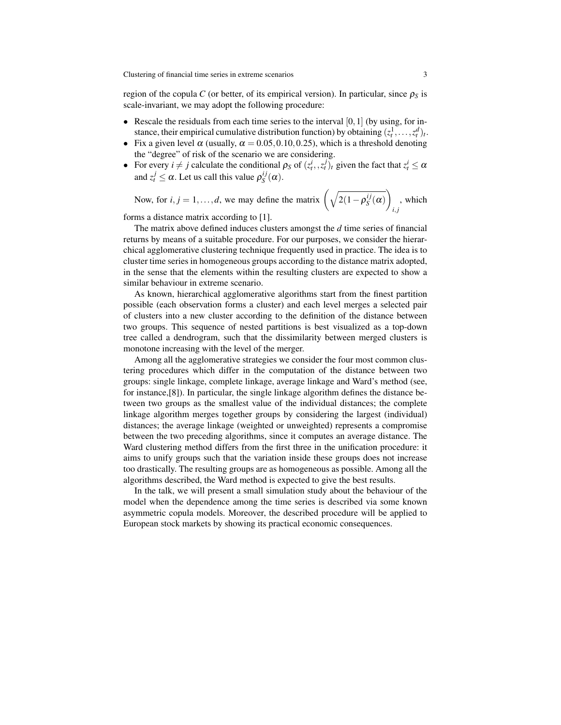Clustering of financial time series in extreme scenarios 3

region of the copula *C* (or better, of its empirical version). In particular, since  $\rho_s$  is scale-invariant, we may adopt the following procedure:

- Rescale the residuals from each time series to the interval  $[0,1]$  (by using, for instance, their empirical cumulative distribution function) by obtaining  $(z_t^1, \ldots, z_t^d)_t$ .
- Fix a given level  $\alpha$  (usually,  $\alpha = 0.05, 0.10, 0.25$ ), which is a threshold denoting the "degree" of risk of the scenario we are considering.
- For every  $i \neq j$  calculate the conditional  $\rho_S$  of  $(z_t^i, z_t^j)_t$  given the fact that  $z_t^i \leq \alpha$ and  $z_t^j \leq \alpha$ . Let us call this value  $\rho_S^{ij}$  $\int_S^{ij}$  $(\alpha)$ .

Now, for  $i, j = 1, \ldots, d$ , we may define the matrix  $\left(\sqrt{2(1-p_S^{ij})}\right)$  $\overline{I_{S}^{ij}(\alpha)}$ *i*, *j* , which

forms a distance matrix according to [1].

The matrix above defined induces clusters amongst the *d* time series of financial returns by means of a suitable procedure. For our purposes, we consider the hierarchical agglomerative clustering technique frequently used in practice. The idea is to cluster time series in homogeneous groups according to the distance matrix adopted, in the sense that the elements within the resulting clusters are expected to show a similar behaviour in extreme scenario.

As known, hierarchical agglomerative algorithms start from the finest partition possible (each observation forms a cluster) and each level merges a selected pair of clusters into a new cluster according to the definition of the distance between two groups. This sequence of nested partitions is best visualized as a top-down tree called a dendrogram, such that the dissimilarity between merged clusters is monotone increasing with the level of the merger.

Among all the agglomerative strategies we consider the four most common clustering procedures which differ in the computation of the distance between two groups: single linkage, complete linkage, average linkage and Ward's method (see, for instance,[8]). In particular, the single linkage algorithm defines the distance between two groups as the smallest value of the individual distances; the complete linkage algorithm merges together groups by considering the largest (individual) distances; the average linkage (weighted or unweighted) represents a compromise between the two preceding algorithms, since it computes an average distance. The Ward clustering method differs from the first three in the unification procedure: it aims to unify groups such that the variation inside these groups does not increase too drastically. The resulting groups are as homogeneous as possible. Among all the algorithms described, the Ward method is expected to give the best results.

In the talk, we will present a small simulation study about the behaviour of the model when the dependence among the time series is described via some known asymmetric copula models. Moreover, the described procedure will be applied to European stock markets by showing its practical economic consequences.